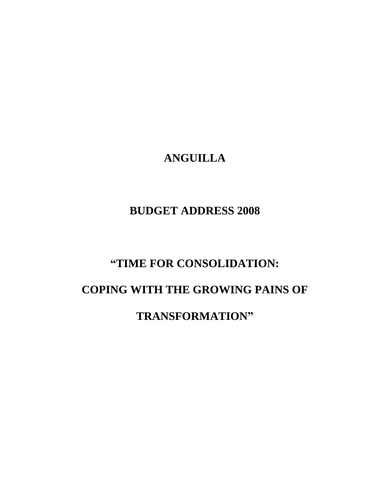# **ANGUILLA**

# **BUDGET ADDRESS 2008**

# **"TIME FOR CONSOLIDATION:**

# **COPING WITH THE GROWING PAINS OF**

**TRANSFORMATION"**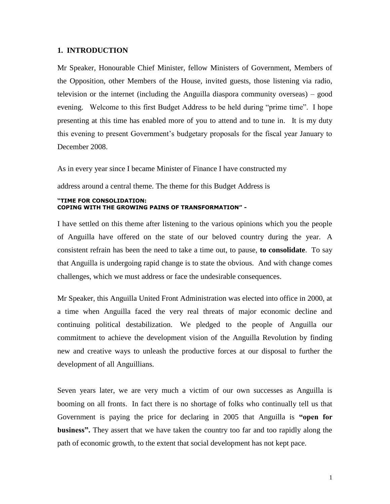### **1. INTRODUCTION**

Mr Speaker, Honourable Chief Minister, fellow Ministers of Government, Members of the Opposition, other Members of the House, invited guests, those listening via radio, television or the internet (including the Anguilla diaspora community overseas) – good evening. Welcome to this first Budget Address to be held during "prime time". I hope presenting at this time has enabled more of you to attend and to tune in. It is my duty this evening to present Government's budgetary proposals for the fiscal year January to December 2008.

As in every year since I became Minister of Finance I have constructed my

address around a central theme. The theme for this Budget Address is

#### **"TIME FOR CONSOLIDATION: COPING WITH THE GROWING PAINS OF TRANSFORMATION" -**

I have settled on this theme after listening to the various opinions which you the people of Anguilla have offered on the state of our beloved country during the year. A consistent refrain has been the need to take a time out, to pause, **to consolidate**. To say that Anguilla is undergoing rapid change is to state the obvious. And with change comes challenges, which we must address or face the undesirable consequences.

Mr Speaker, this Anguilla United Front Administration was elected into office in 2000, at a time when Anguilla faced the very real threats of major economic decline and continuing political destabilization. We pledged to the people of Anguilla our commitment to achieve the development vision of the Anguilla Revolution by finding new and creative ways to unleash the productive forces at our disposal to further the development of all Anguillians.

Seven years later, we are very much a victim of our own successes as Anguilla is booming on all fronts. In fact there is no shortage of folks who continually tell us that Government is paying the price for declaring in 2005 that Anguilla is **"open for business".** They assert that we have taken the country too far and too rapidly along the path of economic growth, to the extent that social development has not kept pace.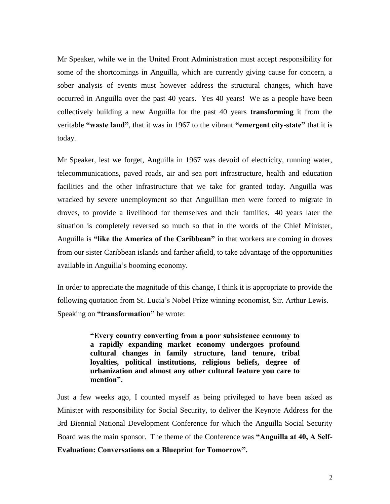Mr Speaker, while we in the United Front Administration must accept responsibility for some of the shortcomings in Anguilla, which are currently giving cause for concern, a sober analysis of events must however address the structural changes, which have occurred in Anguilla over the past 40 years. Yes 40 years! We as a people have been collectively building a new Anguilla for the past 40 years **transforming** it from the veritable **"waste land"**, that it was in 1967 to the vibrant **"emergent city-state"** that it is today.

Mr Speaker, lest we forget, Anguilla in 1967 was devoid of electricity, running water, telecommunications, paved roads, air and sea port infrastructure, health and education facilities and the other infrastructure that we take for granted today. Anguilla was wracked by severe unemployment so that Anguillian men were forced to migrate in droves, to provide a livelihood for themselves and their families. 40 years later the situation is completely reversed so much so that in the words of the Chief Minister, Anguilla is **"like the America of the Caribbean"** in that workers are coming in droves from our sister Caribbean islands and farther afield, to take advantage of the opportunities available in Anguilla's booming economy.

In order to appreciate the magnitude of this change, I think it is appropriate to provide the following quotation from St. Lucia's Nobel Prize winning economist, Sir. Arthur Lewis. Speaking on **"transformation"** he wrote:

> **"Every country converting from a poor subsistence economy to a rapidly expanding market economy undergoes profound cultural changes in family structure, land tenure, tribal loyalties, political institutions, religious beliefs, degree of urbanization and almost any other cultural feature you care to mention".**

Just a few weeks ago, I counted myself as being privileged to have been asked as Minister with responsibility for Social Security, to deliver the Keynote Address for the 3rd Biennial National Development Conference for which the Anguilla Social Security Board was the main sponsor. The theme of the Conference was **"Anguilla at 40, A Self-Evaluation: Conversations on a Blueprint for Tomorrow".**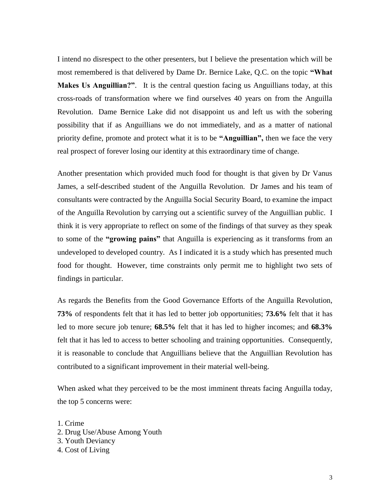I intend no disrespect to the other presenters, but I believe the presentation which will be most remembered is that delivered by Dame Dr. Bernice Lake, Q.C. on the topic **"What Makes Us Anguillian?"**. It is the central question facing us Anguillians today, at this cross-roads of transformation where we find ourselves 40 years on from the Anguilla Revolution. Dame Bernice Lake did not disappoint us and left us with the sobering possibility that if as Anguillians we do not immediately, and as a matter of national priority define, promote and protect what it is to be **"Anguillian",** then we face the very real prospect of forever losing our identity at this extraordinary time of change.

Another presentation which provided much food for thought is that given by Dr Vanus James, a self-described student of the Anguilla Revolution. Dr James and his team of consultants were contracted by the Anguilla Social Security Board, to examine the impact of the Anguilla Revolution by carrying out a scientific survey of the Anguillian public. I think it is very appropriate to reflect on some of the findings of that survey as they speak to some of the **"growing pains"** that Anguilla is experiencing as it transforms from an undeveloped to developed country. As I indicated it is a study which has presented much food for thought. However, time constraints only permit me to highlight two sets of findings in particular.

As regards the Benefits from the Good Governance Efforts of the Anguilla Revolution, **73%** of respondents felt that it has led to better job opportunities; **73.6%** felt that it has led to more secure job tenure; **68.5%** felt that it has led to higher incomes; and **68.3%**  felt that it has led to access to better schooling and training opportunities. Consequently, it is reasonable to conclude that Anguillians believe that the Anguillian Revolution has contributed to a significant improvement in their material well-being.

When asked what they perceived to be the most imminent threats facing Anguilla today, the top 5 concerns were:

1. Crime 2. Drug Use/Abuse Among Youth 3. Youth Deviancy 4. Cost of Living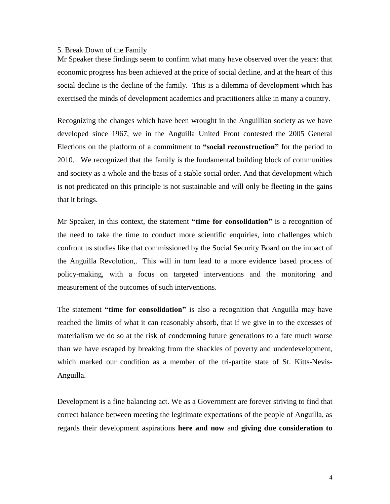#### 5. Break Down of the Family

Mr Speaker these findings seem to confirm what many have observed over the years: that economic progress has been achieved at the price of social decline, and at the heart of this social decline is the decline of the family. This is a dilemma of development which has exercised the minds of development academics and practitioners alike in many a country.

Recognizing the changes which have been wrought in the Anguillian society as we have developed since 1967, we in the Anguilla United Front contested the 2005 General Elections on the platform of a commitment to **"social reconstruction"** for the period to 2010. We recognized that the family is the fundamental building block of communities and society as a whole and the basis of a stable social order. And that development which is not predicated on this principle is not sustainable and will only be fleeting in the gains that it brings.

Mr Speaker, in this context, the statement **"time for consolidation"** is a recognition of the need to take the time to conduct more scientific enquiries, into challenges which confront us studies like that commissioned by the Social Security Board on the impact of the Anguilla Revolution,. This will in turn lead to a more evidence based process of policy-making, with a focus on targeted interventions and the monitoring and measurement of the outcomes of such interventions.

The statement **"time for consolidation"** is also a recognition that Anguilla may have reached the limits of what it can reasonably absorb, that if we give in to the excesses of materialism we do so at the risk of condemning future generations to a fate much worse than we have escaped by breaking from the shackles of poverty and underdevelopment, which marked our condition as a member of the tri-partite state of St. Kitts-Nevis-Anguilla.

Development is a fine balancing act. We as a Government are forever striving to find that correct balance between meeting the legitimate expectations of the people of Anguilla, as regards their development aspirations **here and now** and **giving due consideration to**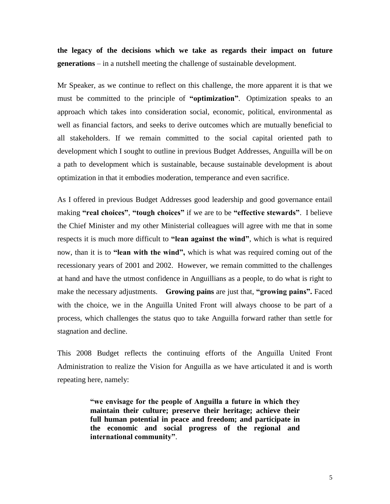**the legacy of the decisions which we take as regards their impact on future generations** – in a nutshell meeting the challenge of sustainable development.

Mr Speaker, as we continue to reflect on this challenge, the more apparent it is that we must be committed to the principle of **"optimization"**. Optimization speaks to an approach which takes into consideration social, economic, political, environmental as well as financial factors, and seeks to derive outcomes which are mutually beneficial to all stakeholders. If we remain committed to the social capital oriented path to development which I sought to outline in previous Budget Addresses, Anguilla will be on a path to development which is sustainable, because sustainable development is about optimization in that it embodies moderation, temperance and even sacrifice.

As I offered in previous Budget Addresses good leadership and good governance entail making **"real choices"**, **"tough choices"** if we are to be **"effective stewards"**. I believe the Chief Minister and my other Ministerial colleagues will agree with me that in some respects it is much more difficult to **"lean against the wind"**, which is what is required now, than it is to **"lean with the wind",** which is what was required coming out of the recessionary years of 2001 and 2002. However, we remain committed to the challenges at hand and have the utmost confidence in Anguillians as a people, to do what is right to make the necessary adjustments. **Growing pains** are just that, **"growing pains".** Faced with the choice, we in the Anguilla United Front will always choose to be part of a process, which challenges the status quo to take Anguilla forward rather than settle for stagnation and decline.

This 2008 Budget reflects the continuing efforts of the Anguilla United Front Administration to realize the Vision for Anguilla as we have articulated it and is worth repeating here, namely:

> **"we envisage for the people of Anguilla a future in which they maintain their culture; preserve their heritage; achieve their full human potential in peace and freedom; and participate in the economic and social progress of the regional and international community"**.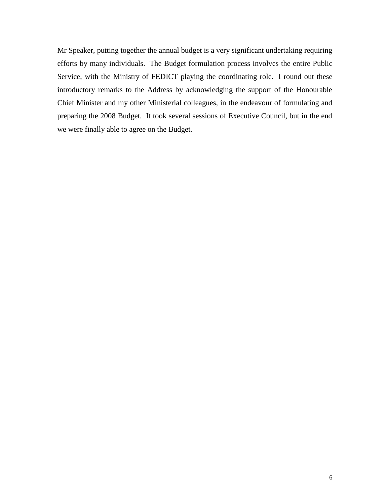Mr Speaker, putting together the annual budget is a very significant undertaking requiring efforts by many individuals. The Budget formulation process involves the entire Public Service, with the Ministry of FEDICT playing the coordinating role. I round out these introductory remarks to the Address by acknowledging the support of the Honourable Chief Minister and my other Ministerial colleagues, in the endeavour of formulating and preparing the 2008 Budget. It took several sessions of Executive Council, but in the end we were finally able to agree on the Budget.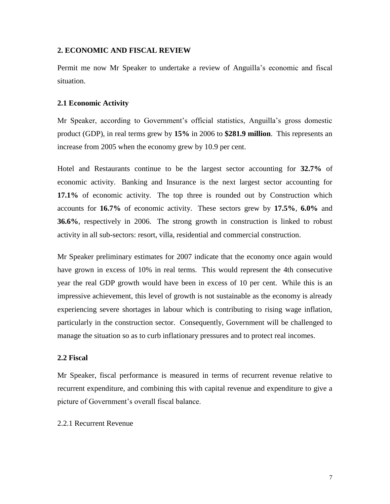### **2. ECONOMIC AND FISCAL REVIEW**

Permit me now Mr Speaker to undertake a review of Anguilla's economic and fiscal situation.

# **2.1 Economic Activity**

Mr Speaker, according to Government's official statistics, Anguilla's gross domestic product (GDP), in real terms grew by **15%** in 2006 to **\$281.9 million**. This represents an increase from 2005 when the economy grew by 10.9 per cent.

Hotel and Restaurants continue to be the largest sector accounting for **32.7%** of economic activity. Banking and Insurance is the next largest sector accounting for **17.1%** of economic activity. The top three is rounded out by Construction which accounts for **16.7%** of economic activity. These sectors grew by **17.5%**, **6.0%** and **36.6%**, respectively in 2006. The strong growth in construction is linked to robust activity in all sub-sectors: resort, villa, residential and commercial construction.

Mr Speaker preliminary estimates for 2007 indicate that the economy once again would have grown in excess of 10% in real terms. This would represent the 4th consecutive year the real GDP growth would have been in excess of 10 per cent. While this is an impressive achievement, this level of growth is not sustainable as the economy is already experiencing severe shortages in labour which is contributing to rising wage inflation, particularly in the construction sector. Consequently, Government will be challenged to manage the situation so as to curb inflationary pressures and to protect real incomes.

## **2.2 Fiscal**

Mr Speaker, fiscal performance is measured in terms of recurrent revenue relative to recurrent expenditure, and combining this with capital revenue and expenditure to give a picture of Government's overall fiscal balance.

# 2.2.1 Recurrent Revenue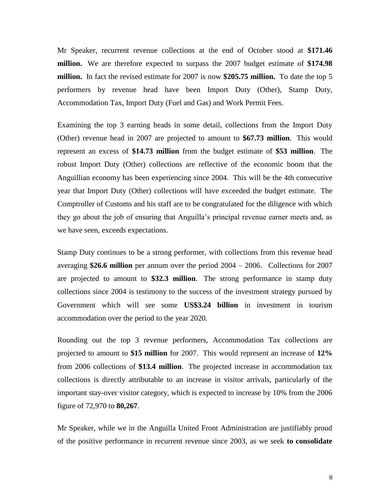Mr Speaker, recurrent revenue collections at the end of October stood at **\$171.46 million.** We are therefore expected to surpass the 2007 budget estimate of **\$174.98 million.** In fact the revised estimate for 2007 is now **\$205.75 million.** To date the top 5 performers by revenue head have been Import Duty (Other), Stamp Duty, Accommodation Tax, Import Duty (Fuel and Gas) and Work Permit Fees.

Examining the top 3 earning heads in some detail, collections from the Import Duty (Other) revenue head in 2007 are projected to amount to **\$67.73 million**. This would represent an excess of **\$14.73 million** from the budget estimate of **\$53 million**. The robust Import Duty (Other) collections are reflective of the economic boom that the Anguillian economy has been experiencing since 2004. This will be the 4th consecutive year that Import Duty (Other) collections will have exceeded the budget estimate. The Comptroller of Customs and his staff are to be congratulated for the diligence with which they go about the job of ensuring that Anguilla's principal revenue earner meets and, as we have seen, exceeds expectations.

Stamp Duty continues to be a strong performer, with collections from this revenue head averaging **\$26.6 million** per annum over the period 2004 – 2006. Collections for 2007 are projected to amount to **\$32.3 million**. The strong performance in stamp duty collections since 2004 is testimony to the success of the investment strategy pursued by Government which will see some **US\$3.24 billion** in investment in tourism accommodation over the period to the year 2020.

Rounding out the top 3 revenue performers, Accommodation Tax collections are projected to amount to **\$15 million** for 2007. This would represent an increase of **12%** from 2006 collections of **\$13.4 million**. The projected increase in accommodation tax collections is directly attributable to an increase in visitor arrivals, particularly of the important stay-over visitor category, which is expected to increase by 10% from the 2006 figure of 72,970 to **80,267**.

Mr Speaker, while we in the Anguilla United Front Administration are justifiably proud of the positive performance in recurrent revenue since 2003, as we seek **to consolidate**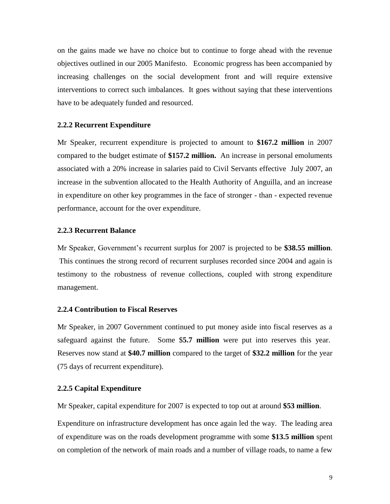on the gains made we have no choice but to continue to forge ahead with the revenue objectives outlined in our 2005 Manifesto. Economic progress has been accompanied by increasing challenges on the social development front and will require extensive interventions to correct such imbalances. It goes without saying that these interventions have to be adequately funded and resourced.

#### **2.2.2 Recurrent Expenditure**

Mr Speaker, recurrent expenditure is projected to amount to **\$167.2 million** in 2007 compared to the budget estimate of **\$157.2 million.** An increase in personal emoluments associated with a 20% increase in salaries paid to Civil Servants effective July 2007, an increase in the subvention allocated to the Health Authority of Anguilla, and an increase in expenditure on other key programmes in the face of stronger - than - expected revenue performance, account for the over expenditure.

#### **2.2.3 Recurrent Balance**

Mr Speaker, Government's recurrent surplus for 2007 is projected to be **\$38.55 million**. This continues the strong record of recurrent surpluses recorded since 2004 and again is testimony to the robustness of revenue collections, coupled with strong expenditure management.

#### **2.2.4 Contribution to Fiscal Reserves**

Mr Speaker, in 2007 Government continued to put money aside into fiscal reserves as a safeguard against the future. Some \$**5.7 million** were put into reserves this year. Reserves now stand at **\$40.7 million** compared to the target of **\$32.2 million** for the year (75 days of recurrent expenditure).

# **2.2.5 Capital Expenditure**

Mr Speaker, capital expenditure for 2007 is expected to top out at around **\$53 million**.

Expenditure on infrastructure development has once again led the way. The leading area of expenditure was on the roads development programme with some **\$13.5 million** spent on completion of the network of main roads and a number of village roads, to name a few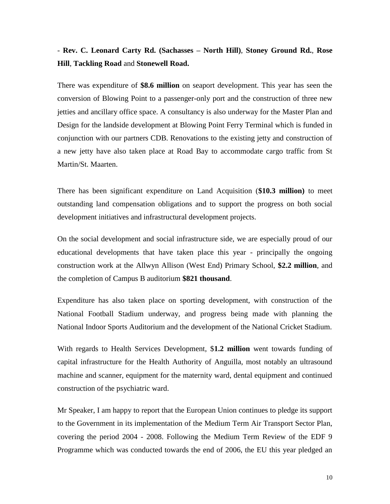# - **Rev. C. Leonard Carty Rd. (Sachasses – North Hill)**, **Stoney Ground Rd.**, **Rose Hill**, **Tackling Road** and **Stonewell Road.**

There was expenditure of **\$8.6 million** on seaport development. This year has seen the conversion of Blowing Point to a passenger-only port and the construction of three new jetties and ancillary office space. A consultancy is also underway for the Master Plan and Design for the landside development at Blowing Point Ferry Terminal which is funded in conjunction with our partners CDB. Renovations to the existing jetty and construction of a new jetty have also taken place at Road Bay to accommodate cargo traffic from St Martin/St. Maarten.

There has been significant expenditure on Land Acquisition (**\$10.3 million)** to meet outstanding land compensation obligations and to support the progress on both social development initiatives and infrastructural development projects.

On the social development and social infrastructure side, we are especially proud of our educational developments that have taken place this year - principally the ongoing construction work at the Allwyn Allison (West End) Primary School, **\$2.2 million**, and the completion of Campus B auditorium **\$821 thousand**.

Expenditure has also taken place on sporting development, with construction of the National Football Stadium underway, and progress being made with planning the National Indoor Sports Auditorium and the development of the National Cricket Stadium.

With regards to Health Services Development, \$**1.2 million** went towards funding of capital infrastructure for the Health Authority of Anguilla, most notably an ultrasound machine and scanner, equipment for the maternity ward, dental equipment and continued construction of the psychiatric ward.

Mr Speaker, I am happy to report that the European Union continues to pledge its support to the Government in its implementation of the Medium Term Air Transport Sector Plan, covering the period 2004 - 2008. Following the Medium Term Review of the EDF 9 Programme which was conducted towards the end of 2006, the EU this year pledged an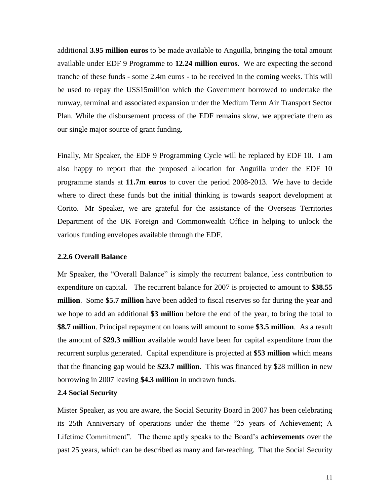additional **3.95 million euros** to be made available to Anguilla, bringing the total amount available under EDF 9 Programme to **12.24 million euros**. We are expecting the second tranche of these funds - some 2.4m euros - to be received in the coming weeks. This will be used to repay the US\$15million which the Government borrowed to undertake the runway, terminal and associated expansion under the Medium Term Air Transport Sector Plan. While the disbursement process of the EDF remains slow, we appreciate them as our single major source of grant funding.

Finally, Mr Speaker, the EDF 9 Programming Cycle will be replaced by EDF 10. I am also happy to report that the proposed allocation for Anguilla under the EDF 10 programme stands at **11.7m euros** to cover the period 2008-2013. We have to decide where to direct these funds but the initial thinking is towards seaport development at Corito. Mr Speaker, we are grateful for the assistance of the Overseas Territories Department of the UK Foreign and Commonwealth Office in helping to unlock the various funding envelopes available through the EDF.

#### **2.2.6 Overall Balance**

Mr Speaker, the "Overall Balance" is simply the recurrent balance, less contribution to expenditure on capital. The recurrent balance for 2007 is projected to amount to **\$38.55 million**. Some **\$5.7 million** have been added to fiscal reserves so far during the year and we hope to add an additional **\$3 million** before the end of the year, to bring the total to **\$8.7 million**. Principal repayment on loans will amount to some **\$3.5 million**. As a result the amount of **\$29.3 million** available would have been for capital expenditure from the recurrent surplus generated. Capital expenditure is projected at **\$53 million** which means that the financing gap would be **\$23.7 million**. This was financed by \$28 million in new borrowing in 2007 leaving **\$4.3 million** in undrawn funds.

# **2.4 Social Security**

Mister Speaker, as you are aware, the Social Security Board in 2007 has been celebrating its 25th Anniversary of operations under the theme "25 years of Achievement; A Lifetime Commitment". The theme aptly speaks to the Board's **achievements** over the past 25 years, which can be described as many and far-reaching. That the Social Security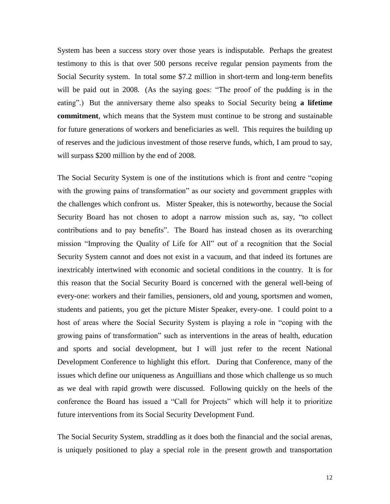System has been a success story over those years is indisputable. Perhaps the greatest testimony to this is that over 500 persons receive regular pension payments from the Social Security system. In total some \$7.2 million in short-term and long-term benefits will be paid out in 2008. (As the saying goes: "The proof of the pudding is in the eating".) But the anniversary theme also speaks to Social Security being **a lifetime commitment**, which means that the System must continue to be strong and sustainable for future generations of workers and beneficiaries as well. This requires the building up of reserves and the judicious investment of those reserve funds, which, I am proud to say, will surpass \$200 million by the end of 2008.

The Social Security System is one of the institutions which is front and centre "coping with the growing pains of transformation" as our society and government grapples with the challenges which confront us. Mister Speaker, this is noteworthy, because the Social Security Board has not chosen to adopt a narrow mission such as, say, "to collect contributions and to pay benefits". The Board has instead chosen as its overarching mission "Improving the Quality of Life for All" out of a recognition that the Social Security System cannot and does not exist in a vacuum, and that indeed its fortunes are inextricably intertwined with economic and societal conditions in the country. It is for this reason that the Social Security Board is concerned with the general well-being of every-one: workers and their families, pensioners, old and young, sportsmen and women, students and patients, you get the picture Mister Speaker, every-one. I could point to a host of areas where the Social Security System is playing a role in "coping with the growing pains of transformation" such as interventions in the areas of health, education and sports and social development, but I will just refer to the recent National Development Conference to highlight this effort. During that Conference, many of the issues which define our uniqueness as Anguillians and those which challenge us so much as we deal with rapid growth were discussed. Following quickly on the heels of the conference the Board has issued a "Call for Projects" which will help it to prioritize future interventions from its Social Security Development Fund.

The Social Security System, straddling as it does both the financial and the social arenas, is uniquely positioned to play a special role in the present growth and transportation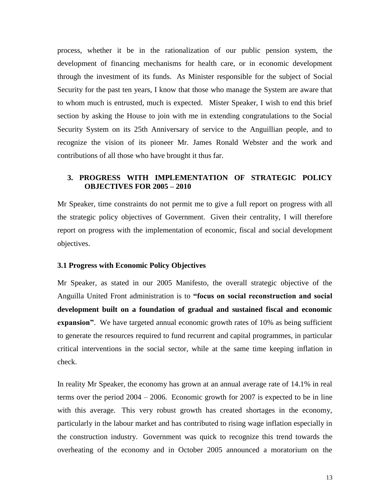process, whether it be in the rationalization of our public pension system, the development of financing mechanisms for health care, or in economic development through the investment of its funds. As Minister responsible for the subject of Social Security for the past ten years, I know that those who manage the System are aware that to whom much is entrusted, much is expected. Mister Speaker, I wish to end this brief section by asking the House to join with me in extending congratulations to the Social Security System on its 25th Anniversary of service to the Anguillian people, and to recognize the vision of its pioneer Mr. James Ronald Webster and the work and contributions of all those who have brought it thus far.

# **3. PROGRESS WITH IMPLEMENTATION OF STRATEGIC POLICY OBJECTIVES FOR 2005 – 2010**

Mr Speaker, time constraints do not permit me to give a full report on progress with all the strategic policy objectives of Government. Given their centrality, I will therefore report on progress with the implementation of economic, fiscal and social development objectives.

# **3.1 Progress with Economic Policy Objectives**

Mr Speaker, as stated in our 2005 Manifesto, the overall strategic objective of the Anguilla United Front administration is to **"focus on social reconstruction and social development built on a foundation of gradual and sustained fiscal and economic expansion"**. We have targeted annual economic growth rates of 10% as being sufficient to generate the resources required to fund recurrent and capital programmes, in particular critical interventions in the social sector, while at the same time keeping inflation in check.

In reality Mr Speaker, the economy has grown at an annual average rate of 14.1% in real terms over the period 2004 – 2006. Economic growth for 2007 is expected to be in line with this average. This very robust growth has created shortages in the economy, particularly in the labour market and has contributed to rising wage inflation especially in the construction industry. Government was quick to recognize this trend towards the overheating of the economy and in October 2005 announced a moratorium on the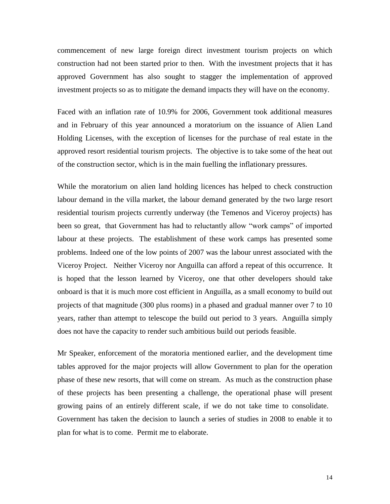commencement of new large foreign direct investment tourism projects on which construction had not been started prior to then. With the investment projects that it has approved Government has also sought to stagger the implementation of approved investment projects so as to mitigate the demand impacts they will have on the economy.

Faced with an inflation rate of 10.9% for 2006, Government took additional measures and in February of this year announced a moratorium on the issuance of Alien Land Holding Licenses, with the exception of licenses for the purchase of real estate in the approved resort residential tourism projects. The objective is to take some of the heat out of the construction sector, which is in the main fuelling the inflationary pressures.

While the moratorium on alien land holding licences has helped to check construction labour demand in the villa market, the labour demand generated by the two large resort residential tourism projects currently underway (the Temenos and Viceroy projects) has been so great, that Government has had to reluctantly allow "work camps" of imported labour at these projects. The establishment of these work camps has presented some problems. Indeed one of the low points of 2007 was the labour unrest associated with the Viceroy Project. Neither Viceroy nor Anguilla can afford a repeat of this occurrence. It is hoped that the lesson learned by Viceroy, one that other developers should take onboard is that it is much more cost efficient in Anguilla, as a small economy to build out projects of that magnitude (300 plus rooms) in a phased and gradual manner over 7 to 10 years, rather than attempt to telescope the build out period to 3 years. Anguilla simply does not have the capacity to render such ambitious build out periods feasible.

Mr Speaker, enforcement of the moratoria mentioned earlier, and the development time tables approved for the major projects will allow Government to plan for the operation phase of these new resorts, that will come on stream. As much as the construction phase of these projects has been presenting a challenge, the operational phase will present growing pains of an entirely different scale, if we do not take time to consolidate. Government has taken the decision to launch a series of studies in 2008 to enable it to plan for what is to come. Permit me to elaborate.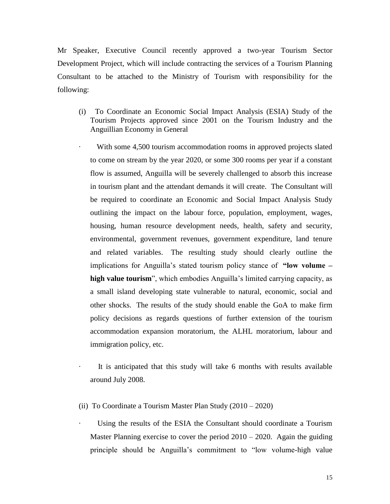Mr Speaker, Executive Council recently approved a two-year Tourism Sector Development Project, which will include contracting the services of a Tourism Planning Consultant to be attached to the Ministry of Tourism with responsibility for the following:

(i) To Coordinate an Economic Social Impact Analysis (ESIA) Study of the Tourism Projects approved since 2001 on the Tourism Industry and the Anguillian Economy in General

With some 4,500 tourism accommodation rooms in approved projects slated to come on stream by the year 2020, or some 300 rooms per year if a constant flow is assumed, Anguilla will be severely challenged to absorb this increase in tourism plant and the attendant demands it will create. The Consultant will be required to coordinate an Economic and Social Impact Analysis Study outlining the impact on the labour force, population, employment, wages, housing, human resource development needs, health, safety and security, environmental, government revenues, government expenditure, land tenure and related variables. The resulting study should clearly outline the implications for Anguilla's stated tourism policy stance of **"low volume – high value tourism**", which embodies Anguilla's limited carrying capacity, as a small island developing state vulnerable to natural, economic, social and other shocks. The results of the study should enable the GoA to make firm policy decisions as regards questions of further extension of the tourism accommodation expansion moratorium, the ALHL moratorium, labour and immigration policy, etc.

It is anticipated that this study will take 6 months with results available around July 2008.

- (ii) To Coordinate a Tourism Master Plan Study (2010 2020)
	- Using the results of the ESIA the Consultant should coordinate a Tourism Master Planning exercise to cover the period  $2010 - 2020$ . Again the guiding principle should be Anguilla's commitment to "low volume-high value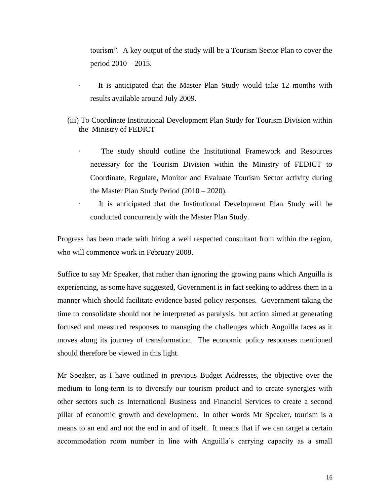tourism". A key output of the study will be a Tourism Sector Plan to cover the period 2010 – 2015.

- It is anticipated that the Master Plan Study would take 12 months with results available around July 2009.
- (iii) To Coordinate Institutional Development Plan Study for Tourism Division within the Ministry of FEDICT
	- The study should outline the Institutional Framework and Resources necessary for the Tourism Division within the Ministry of FEDICT to Coordinate, Regulate, Monitor and Evaluate Tourism Sector activity during the Master Plan Study Period (2010 – 2020).
	- It is anticipated that the Institutional Development Plan Study will be conducted concurrently with the Master Plan Study.

Progress has been made with hiring a well respected consultant from within the region, who will commence work in February 2008.

Suffice to say Mr Speaker, that rather than ignoring the growing pains which Anguilla is experiencing, as some have suggested, Government is in fact seeking to address them in a manner which should facilitate evidence based policy responses. Government taking the time to consolidate should not be interpreted as paralysis, but action aimed at generating focused and measured responses to managing the challenges which Anguilla faces as it moves along its journey of transformation. The economic policy responses mentioned should therefore be viewed in this light.

Mr Speaker, as I have outlined in previous Budget Addresses, the objective over the medium to long-term is to diversify our tourism product and to create synergies with other sectors such as International Business and Financial Services to create a second pillar of economic growth and development. In other words Mr Speaker, tourism is a means to an end and not the end in and of itself. It means that if we can target a certain accommodation room number in line with Anguilla's carrying capacity as a small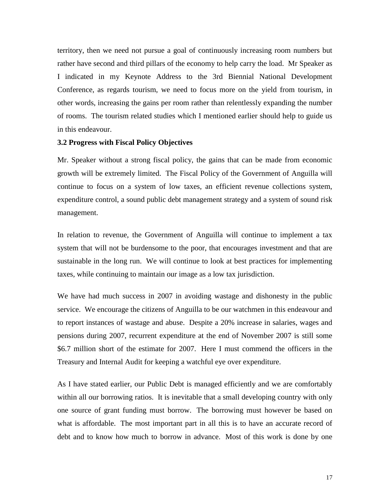territory, then we need not pursue a goal of continuously increasing room numbers but rather have second and third pillars of the economy to help carry the load. Mr Speaker as I indicated in my Keynote Address to the 3rd Biennial National Development Conference, as regards tourism, we need to focus more on the yield from tourism, in other words, increasing the gains per room rather than relentlessly expanding the number of rooms. The tourism related studies which I mentioned earlier should help to guide us in this endeavour.

#### **3.2 Progress with Fiscal Policy Objectives**

Mr. Speaker without a strong fiscal policy, the gains that can be made from economic growth will be extremely limited. The Fiscal Policy of the Government of Anguilla will continue to focus on a system of low taxes, an efficient revenue collections system, expenditure control, a sound public debt management strategy and a system of sound risk management.

In relation to revenue, the Government of Anguilla will continue to implement a tax system that will not be burdensome to the poor, that encourages investment and that are sustainable in the long run. We will continue to look at best practices for implementing taxes, while continuing to maintain our image as a low tax jurisdiction.

We have had much success in 2007 in avoiding wastage and dishonesty in the public service. We encourage the citizens of Anguilla to be our watchmen in this endeavour and to report instances of wastage and abuse. Despite a 20% increase in salaries, wages and pensions during 2007, recurrent expenditure at the end of November 2007 is still some \$6.7 million short of the estimate for 2007. Here I must commend the officers in the Treasury and Internal Audit for keeping a watchful eye over expenditure.

As I have stated earlier, our Public Debt is managed efficiently and we are comfortably within all our borrowing ratios. It is inevitable that a small developing country with only one source of grant funding must borrow. The borrowing must however be based on what is affordable. The most important part in all this is to have an accurate record of debt and to know how much to borrow in advance. Most of this work is done by one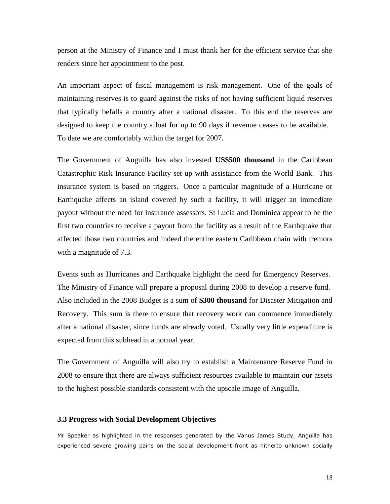person at the Ministry of Finance and I must thank her for the efficient service that she renders since her appointment to the post.

An important aspect of fiscal management is risk management. One of the goals of maintaining reserves is to guard against the risks of not having sufficient liquid reserves that typically befalls a country after a national disaster. To this end the reserves are designed to keep the country afloat for up to 90 days if revenue ceases to be available. To date we are comfortably within the target for 2007.

The Government of Anguilla has also invested **US\$500 thousand** in the Caribbean Catastrophic Risk Insurance Facility set up with assistance from the World Bank. This insurance system is based on triggers. Once a particular magnitude of a Hurricane or Earthquake affects an island covered by such a facility, it will trigger an immediate payout without the need for insurance assessors. St Lucia and Dominica appear to be the first two countries to receive a payout from the facility as a result of the Earthquake that affected those two countries and indeed the entire eastern Caribbean chain with tremors with a magnitude of 7.3.

Events such as Hurricanes and Earthquake highlight the need for Emergency Reserves. The Ministry of Finance will prepare a proposal during 2008 to develop a reserve fund. Also included in the 2008 Budget is a sum of **\$300 thousand** for Disaster Mitigation and Recovery. This sum is there to ensure that recovery work can commence immediately after a national disaster, since funds are already voted. Usually very little expenditure is expected from this subhead in a normal year.

The Government of Anguilla will also try to establish a Maintenance Reserve Fund in 2008 to ensure that there are always sufficient resources available to maintain our assets to the highest possible standards consistent with the upscale image of Anguilla.

#### **3.3 Progress with Social Development Objectives**

Mr Speaker as highlighted in the responses generated by the Vanus James Study, Anguilla has experienced severe growing pains on the social development front as hitherto unknown socially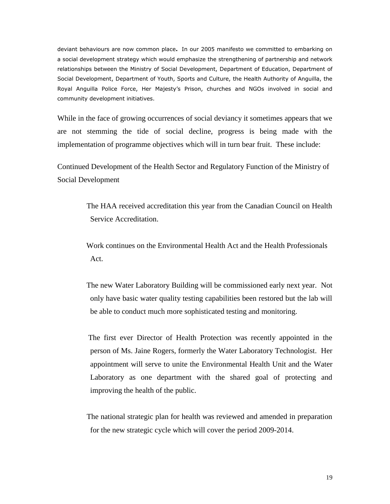deviant behaviours are now common place**.** In our 2005 manifesto we committed to embarking on a social development strategy which would emphasize the strengthening of partnership and network relationships between the Ministry of Social Development, Department of Education, Department of Social Development, Department of Youth, Sports and Culture, the Health Authority of Anguilla, the Royal Anguilla Police Force, Her Majesty's Prison, churches and NGOs involved in social and community development initiatives.

While in the face of growing occurrences of social deviancy it sometimes appears that we are not stemming the tide of social decline, progress is being made with the implementation of programme objectives which will in turn bear fruit. These include:

Continued Development of the Health Sector and Regulatory Function of the Ministry of Social Development

> The HAA received accreditation this year from the Canadian Council on Health Service Accreditation.

 Work continues on the Environmental Health Act and the Health Professionals Act.

 The new Water Laboratory Building will be commissioned early next year. Not only have basic water quality testing capabilities been restored but the lab will be able to conduct much more sophisticated testing and monitoring.

 The first ever Director of Health Protection was recently appointed in the person of Ms. Jaine Rogers, formerly the Water Laboratory Technologist. Her appointment will serve to unite the Environmental Health Unit and the Water Laboratory as one department with the shared goal of protecting and improving the health of the public.

 The national strategic plan for health was reviewed and amended in preparation for the new strategic cycle which will cover the period 2009-2014.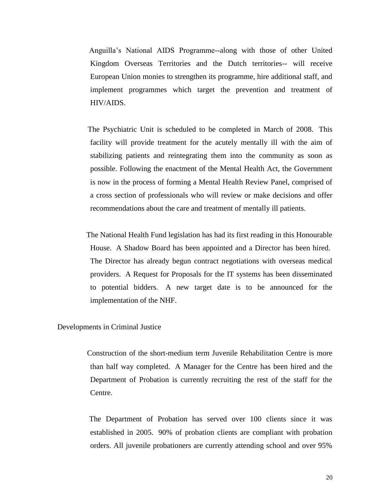Anguilla's National AIDS Programme--along with those of other United Kingdom Overseas Territories and the Dutch territories-- will receive European Union monies to strengthen its programme, hire additional staff, and implement programmes which target the prevention and treatment of HIV/AIDS.

- The Psychiatric Unit is scheduled to be completed in March of 2008. This facility will provide treatment for the acutely mentally ill with the aim of stabilizing patients and reintegrating them into the community as soon as possible. Following the enactment of the Mental Health Act, the Government is now in the process of forming a Mental Health Review Panel, comprised of a cross section of professionals who will review or make decisions and offer recommendations about the care and treatment of mentally ill patients.
- The National Health Fund legislation has had its first reading in this Honourable House. A Shadow Board has been appointed and a Director has been hired. The Director has already begun contract negotiations with overseas medical providers. A Request for Proposals for the IT systems has been disseminated to potential bidders. A new target date is to be announced for the implementation of the NHF.

Developments in Criminal Justice

 Construction of the short-medium term Juvenile Rehabilitation Centre is more than half way completed. A Manager for the Centre has been hired and the Department of Probation is currently recruiting the rest of the staff for the Centre.

 The Department of Probation has served over 100 clients since it was established in 2005. 90% of probation clients are compliant with probation orders. All juvenile probationers are currently attending school and over 95%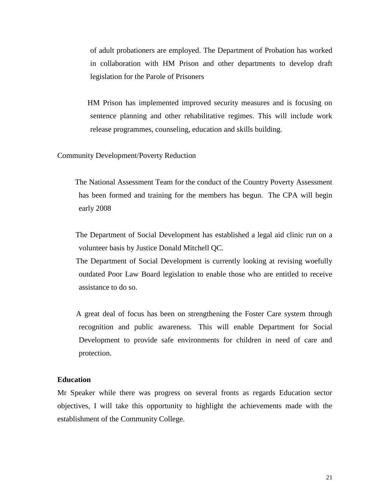of adult probationers are employed. The Department of Probation has worked in collaboration with HM Prison and other departments to develop draft legislation for the Parole of Prisoners

 HM Prison has implemented improved security measures and is focusing on sentence planning and other rehabilitative regimes. This will include work release programmes, counseling, education and skills building.

Community Development/Poverty Reduction

 The National Assessment Team for the conduct of the Country Poverty Assessment has been formed and training for the members has begun. The CPA will begin early 2008

 The Department of Social Development has established a legal aid clinic run on a volunteer basis by Justice Donald Mitchell QC.

 The Department of Social Development is currently looking at revising woefully outdated Poor Law Board legislation to enable those who are entitled to receive assistance to do so.

 A great deal of focus has been on strengthening the Foster Care system through recognition and public awareness. This will enable Department for Social Development to provide safe environments for children in need of care and protection.

# **Education**

Mr Speaker while there was progress on several fronts as regards Education sector objectives, I will take this opportunity to highlight the achievements made with the establishment of the Community College.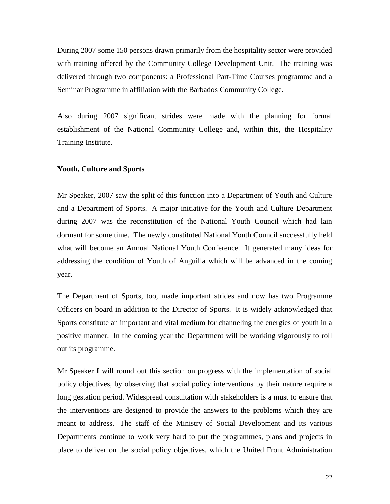During 2007 some 150 persons drawn primarily from the hospitality sector were provided with training offered by the Community College Development Unit. The training was delivered through two components: a Professional Part-Time Courses programme and a Seminar Programme in affiliation with the Barbados Community College.

Also during 2007 significant strides were made with the planning for formal establishment of the National Community College and, within this, the Hospitality Training Institute.

## **Youth, Culture and Sports**

Mr Speaker, 2007 saw the split of this function into a Department of Youth and Culture and a Department of Sports. A major initiative for the Youth and Culture Department during 2007 was the reconstitution of the National Youth Council which had lain dormant for some time. The newly constituted National Youth Council successfully held what will become an Annual National Youth Conference. It generated many ideas for addressing the condition of Youth of Anguilla which will be advanced in the coming year.

The Department of Sports, too, made important strides and now has two Programme Officers on board in addition to the Director of Sports. It is widely acknowledged that Sports constitute an important and vital medium for channeling the energies of youth in a positive manner. In the coming year the Department will be working vigorously to roll out its programme.

Mr Speaker I will round out this section on progress with the implementation of social policy objectives, by observing that social policy interventions by their nature require a long gestation period. Widespread consultation with stakeholders is a must to ensure that the interventions are designed to provide the answers to the problems which they are meant to address. The staff of the Ministry of Social Development and its various Departments continue to work very hard to put the programmes, plans and projects in place to deliver on the social policy objectives, which the United Front Administration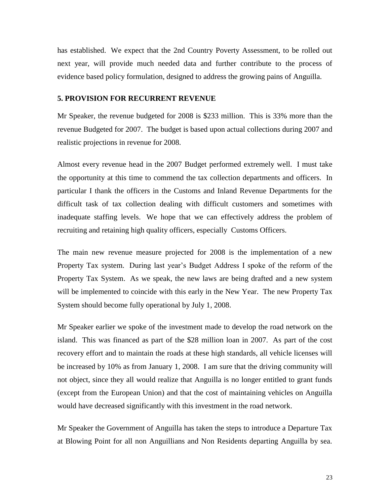has established. We expect that the 2nd Country Poverty Assessment, to be rolled out next year, will provide much needed data and further contribute to the process of evidence based policy formulation, designed to address the growing pains of Anguilla.

# **5. PROVISION FOR RECURRENT REVENUE**

Mr Speaker, the revenue budgeted for 2008 is \$233 million. This is 33% more than the revenue Budgeted for 2007. The budget is based upon actual collections during 2007 and realistic projections in revenue for 2008.

Almost every revenue head in the 2007 Budget performed extremely well. I must take the opportunity at this time to commend the tax collection departments and officers. In particular I thank the officers in the Customs and Inland Revenue Departments for the difficult task of tax collection dealing with difficult customers and sometimes with inadequate staffing levels. We hope that we can effectively address the problem of recruiting and retaining high quality officers, especially Customs Officers.

The main new revenue measure projected for 2008 is the implementation of a new Property Tax system. During last year's Budget Address I spoke of the reform of the Property Tax System. As we speak, the new laws are being drafted and a new system will be implemented to coincide with this early in the New Year. The new Property Tax System should become fully operational by July 1, 2008.

Mr Speaker earlier we spoke of the investment made to develop the road network on the island. This was financed as part of the \$28 million loan in 2007. As part of the cost recovery effort and to maintain the roads at these high standards, all vehicle licenses will be increased by 10% as from January 1, 2008. I am sure that the driving community will not object, since they all would realize that Anguilla is no longer entitled to grant funds (except from the European Union) and that the cost of maintaining vehicles on Anguilla would have decreased significantly with this investment in the road network.

Mr Speaker the Government of Anguilla has taken the steps to introduce a Departure Tax at Blowing Point for all non Anguillians and Non Residents departing Anguilla by sea.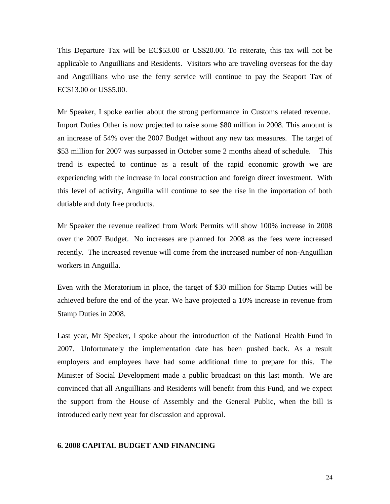This Departure Tax will be EC\$53.00 or US\$20.00. To reiterate, this tax will not be applicable to Anguillians and Residents. Visitors who are traveling overseas for the day and Anguillians who use the ferry service will continue to pay the Seaport Tax of EC\$13.00 or US\$5.00.

Mr Speaker, I spoke earlier about the strong performance in Customs related revenue. Import Duties Other is now projected to raise some \$80 million in 2008. This amount is an increase of 54% over the 2007 Budget without any new tax measures. The target of \$53 million for 2007 was surpassed in October some 2 months ahead of schedule. This trend is expected to continue as a result of the rapid economic growth we are experiencing with the increase in local construction and foreign direct investment. With this level of activity, Anguilla will continue to see the rise in the importation of both dutiable and duty free products.

Mr Speaker the revenue realized from Work Permits will show 100% increase in 2008 over the 2007 Budget. No increases are planned for 2008 as the fees were increased recently. The increased revenue will come from the increased number of non-Anguillian workers in Anguilla.

Even with the Moratorium in place, the target of \$30 million for Stamp Duties will be achieved before the end of the year. We have projected a 10% increase in revenue from Stamp Duties in 2008.

Last year, Mr Speaker, I spoke about the introduction of the National Health Fund in 2007. Unfortunately the implementation date has been pushed back. As a result employers and employees have had some additional time to prepare for this. The Minister of Social Development made a public broadcast on this last month. We are convinced that all Anguillians and Residents will benefit from this Fund, and we expect the support from the House of Assembly and the General Public, when the bill is introduced early next year for discussion and approval.

#### **6. 2008 CAPITAL BUDGET AND FINANCING**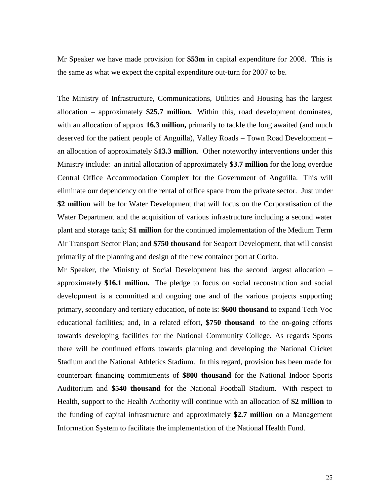Mr Speaker we have made provision for **\$53m** in capital expenditure for 2008. This is the same as what we expect the capital expenditure out-turn for 2007 to be.

The Ministry of Infrastructure, Communications, Utilities and Housing has the largest allocation – approximately **\$25.7 million.** Within this, road development dominates, with an allocation of approx **16.3 million,** primarily to tackle the long awaited (and much deserved for the patient people of Anguilla), Valley Roads – Town Road Development – an allocation of approximately \$**13.3 million**. Other noteworthy interventions under this Ministry include: an initial allocation of approximately **\$3.7 million** for the long overdue Central Office Accommodation Complex for the Government of Anguilla. This will eliminate our dependency on the rental of office space from the private sector. Just under **\$2 million** will be for Water Development that will focus on the Corporatisation of the Water Department and the acquisition of various infrastructure including a second water plant and storage tank; **\$1 million** for the continued implementation of the Medium Term Air Transport Sector Plan; and **\$750 thousand** for Seaport Development, that will consist primarily of the planning and design of the new container port at Corito.

Mr Speaker, the Ministry of Social Development has the second largest allocation – approximately **\$16.1 million.** The pledge to focus on social reconstruction and social development is a committed and ongoing one and of the various projects supporting primary, secondary and tertiary education, of note is: **\$600 thousand** to expand Tech Voc educational facilities; and, in a related effort, **\$750 thousand** to the on-going efforts towards developing facilities for the National Community College. As regards Sports there will be continued efforts towards planning and developing the National Cricket Stadium and the National Athletics Stadium. In this regard, provision has been made for counterpart financing commitments of **\$800 thousand** for the National Indoor Sports Auditorium and **\$540 thousand** for the National Football Stadium. With respect to Health, support to the Health Authority will continue with an allocation of **\$2 million** to the funding of capital infrastructure and approximately **\$2.7 million** on a Management Information System to facilitate the implementation of the National Health Fund.